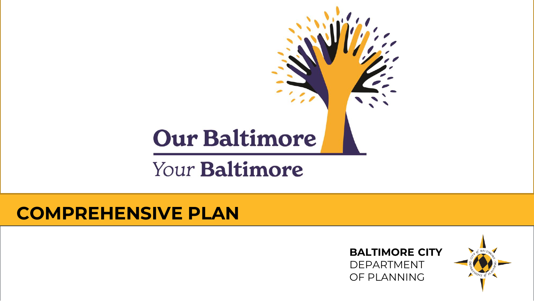# **Our Baltimore**

# Your Baltimore

### **COMPREHENSIVE PLAN**

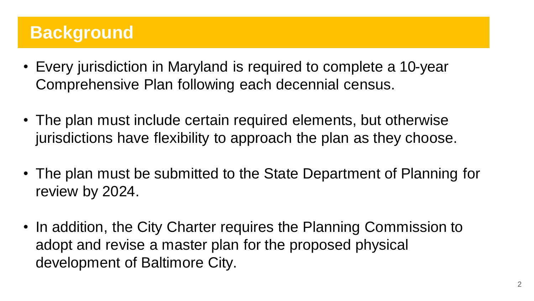# **Background**

- Every jurisdiction in Maryland is required to complete a 10-year Comprehensive Plan following each decennial census.
- The plan must include certain required elements, but otherwise jurisdictions have flexibility to approach the plan as they choose.
- The plan must be submitted to the State Department of Planning for review by 2024.
- In addition, the City Charter requires the Planning Commission to adopt and revise a master plan for the proposed physical development of Baltimore City.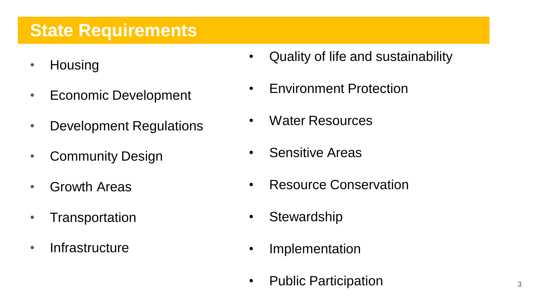# **State Requirements**

- Housing
- Economic Development
- Development Regulations
- Community Design
- Growth Areas
- Transportation
- Infrastructure
- Quality of life and sustainability
- Environment Protection
- Water Resources
- Sensitive Areas
- Resource Conservation
- Stewardship
- Implementation
- Public Participation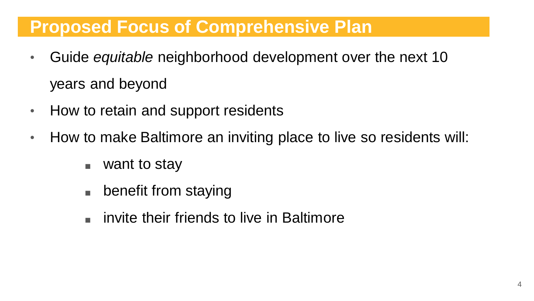# **Proposed Focus of Comprehensive Plan**

- Guide *equitable* neighborhood development over the next 10 years and beyond
- How to retain and support residents
- How to make Baltimore an inviting place to live so residents will:
	- want to stay
	- benefit from staying
	- invite their friends to live in Baltimore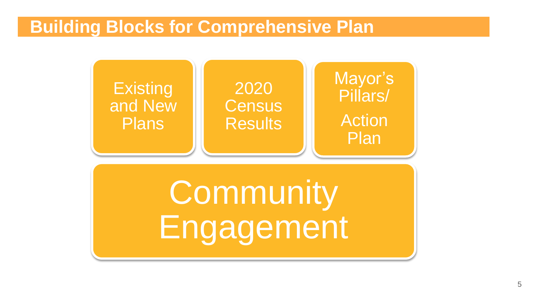# **Building Blocks for Comprehensive Plan**

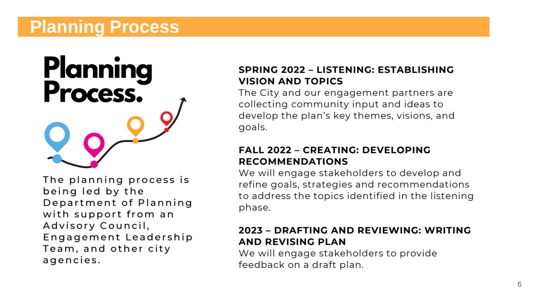# **Planning Process**

# **Planning<br>Process.**

The planning process is being led by the Department of Planning with support from an Advisory Council, Engagement Leadership Team, and other city agencies.

#### SPRING 2022 - LISTENING: ESTABLISHING **VISION AND TOPICS**

The City and our engagement partners are collecting community input and ideas to develop the plan's key themes, visions, and goals.

#### **FALL 2022 - CREATING: DEVELOPING RECOMMENDATIONS**

We will engage stakeholders to develop and refine goals, strategies and recommendations to address the topics identified in the listening phase.

#### 2023 - DRAFTING AND REVIEWING: WRITING **AND REVISING PLAN**

We will engage stakeholders to provide feedback on a draft plan.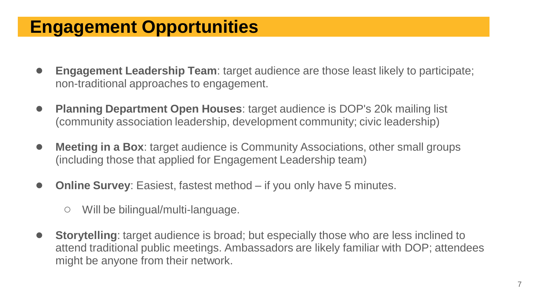# **Engagement Opportunities**

- **Engagement Leadership Team**: target audience are those least likely to participate; non-traditional approaches to engagement.
- **Planning Department Open Houses:** target audience is DOP's 20k mailing list (community association leadership, development community; civic leadership)
- **Meeting in a Box**: target audience is Community Associations, other small groups (including those that applied for Engagement Leadership team)
- **Online Survey:** Easiest, fastest method if you only have 5 minutes.
	- Will be bilingual/multi-language.
- **Storytelling**: target audience is broad; but especially those who are less inclined to attend traditional public meetings. Ambassadors are likely familiar with DOP; attendees might be anyone from their network.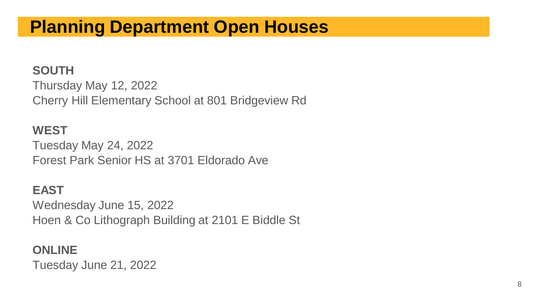# **Planning Department Open Houses**

#### **SOUTH**

Thursday May 12, 2022 Cherry Hill Elementary School at 801 Bridgeview Rd

#### **WEST**

Tuesday May 24, 2022 Forest Park Senior HS at 3701 Eldorado Ave

#### **EAST**

Wednesday June 15, 2022 Hoen & Co Lithograph Building at 2101 E Biddle St

#### **ONLINE**

Tuesday June 21, 2022